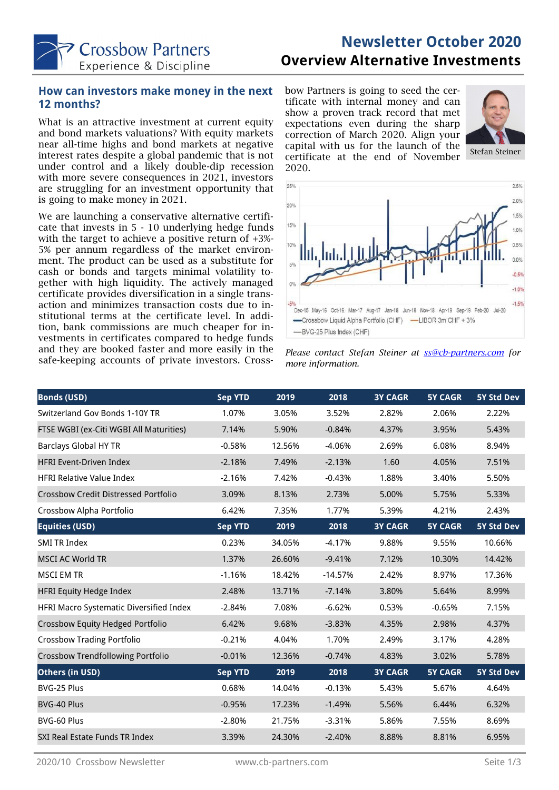

# **Newsletter October 2020 Overview Alternative Investments**

#### **How can investors make money in the next 12 months?**

What is an attractive investment at current equity and bond markets valuations? With equity markets near all-time highs and bond markets at negative interest rates despite a global pandemic that is not under control and a likely double-dip recession with more severe consequences in 2021, investors are struggling for an investment opportunity that is going to make money in 2021.

We are launching a conservative alternative certificate that invests in 5 - 10 underlying hedge funds with the target to achieve a positive return of +3%- 5% per annum regardless of the market environment. The product can be used as a substitute for cash or bonds and targets minimal volatility together with high liquidity. The actively managed certificate provides diversification in a single transaction and minimizes transaction costs due to institutional terms at the certificate level. In addition, bank commissions are much cheaper for investments in certificates compared to hedge funds and they are booked faster and more easily in the safe-keeping accounts of private investors. Crossbow Partners is going to seed the certificate with internal money and can show a proven track record that met expectations even during the sharp correction of March 2020. Align your capital with us for the launch of the certificate at the end of November 2020.







| <b>Bonds (USD)</b>                       | <b>Sep YTD</b> | 2019   | 2018      | <b>3Y CAGR</b> | <b>5Y CAGR</b> | 5Y Std Dev        |
|------------------------------------------|----------------|--------|-----------|----------------|----------------|-------------------|
| Switzerland Gov Bonds 1-10Y TR           | 1.07%          | 3.05%  | 3.52%     | 2.82%          | 2.06%          | 2.22%             |
| FTSE WGBI (ex-Citi WGBI All Maturities)  | 7.14%          | 5.90%  | $-0.84%$  | 4.37%          | 3.95%          | 5.43%             |
| <b>Barclays Global HY TR</b>             | $-0.58%$       | 12.56% | $-4.06%$  | 2.69%          | 6.08%          | 8.94%             |
| <b>HFRI Event-Driven Index</b>           | $-2.18%$       | 7.49%  | $-2.13%$  | 1.60           | 4.05%          | 7.51%             |
| <b>HFRI Relative Value Index</b>         | $-2.16%$       | 7.42%  | $-0.43%$  | 1.88%          | 3.40%          | 5.50%             |
| Crossbow Credit Distressed Portfolio     | 3.09%          | 8.13%  | 2.73%     | 5.00%          | 5.75%          | 5.33%             |
| Crossbow Alpha Portfolio                 | 6.42%          | 7.35%  | 1.77%     | 5.39%          | 4.21%          | 2.43%             |
| <b>Equities (USD)</b>                    | <b>Sep YTD</b> | 2019   | 2018      | <b>3Y CAGR</b> | <b>5Y CAGR</b> | <b>5Y Std Dev</b> |
| <b>SMI TR Index</b>                      | 0.23%          | 34.05% | $-4.17%$  | 9.88%          | 9.55%          | 10.66%            |
| <b>MSCI AC World TR</b>                  | 1.37%          | 26.60% | $-9.41%$  | 7.12%          | 10.30%         | 14.42%            |
| <b>MSCI EM TR</b>                        | $-1.16%$       | 18.42% | $-14.57%$ | 2.42%          | 8.97%          | 17.36%            |
| <b>HFRI Equity Hedge Index</b>           | 2.48%          | 13.71% | $-7.14%$  | 3.80%          | 5.64%          | 8.99%             |
| HFRI Macro Systematic Diversified Index  | $-2.84%$       | 7.08%  | $-6.62%$  | 0.53%          | $-0.65%$       | 7.15%             |
| Crossbow Equity Hedged Portfolio         | 6.42%          | 9.68%  | $-3.83%$  | 4.35%          | 2.98%          | 4.37%             |
| <b>Crossbow Trading Portfolio</b>        | $-0.21%$       | 4.04%  | 1.70%     | 2.49%          | 3.17%          | 4.28%             |
| <b>Crossbow Trendfollowing Portfolio</b> | $-0.01%$       | 12.36% | $-0.74%$  | 4.83%          | 3.02%          | 5.78%             |
| Others (in USD)                          | <b>Sep YTD</b> | 2019   | 2018      | <b>3Y CAGR</b> | <b>5Y CAGR</b> | <b>5Y Std Dev</b> |
| BVG-25 Plus                              | 0.68%          | 14.04% | $-0.13%$  | 5.43%          | 5.67%          | 4.64%             |
| BVG-40 Plus                              | $-0.95%$       | 17.23% | $-1.49%$  | 5.56%          | 6.44%          | 6.32%             |
| BVG-60 Plus                              | $-2.80%$       | 21.75% | $-3.31%$  | 5.86%          | 7.55%          | 8.69%             |
| SXI Real Estate Funds TR Index           | 3.39%          | 24.30% | $-2.40%$  | 8.88%          | 8.81%          | 6.95%             |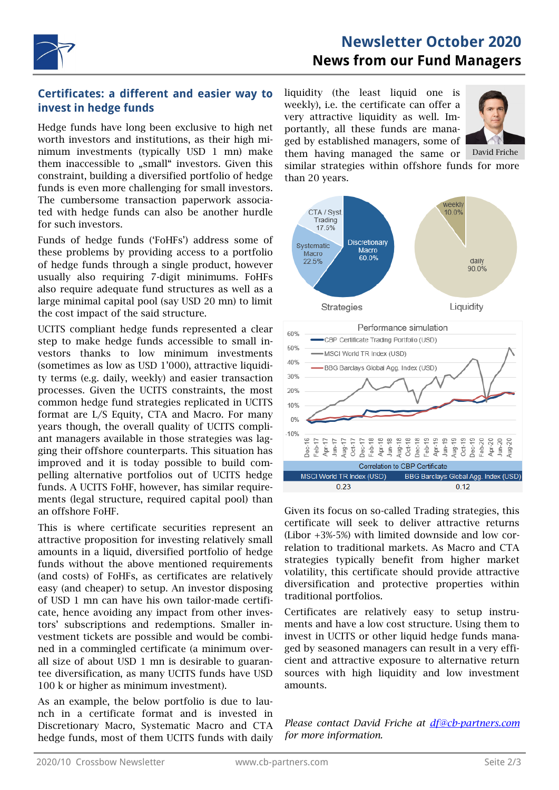

#### **Certificates: a different and easier way to invest in hedge funds**

Hedge funds have long been exclusive to high net worth investors and institutions, as their high minimum investments (typically USD 1 mn) make them inaccessible to "small" investors. Given this constraint, building a diversified portfolio of hedge funds is even more challenging for small investors. The cumbersome transaction paperwork associated with hedge funds can also be another hurdle for such investors.

Funds of hedge funds ('FoHFs') address some of these problems by providing access to a portfolio of hedge funds through a single product, however usually also requiring 7-digit minimums. FoHFs also require adequate fund structures as well as a large minimal capital pool (say USD 20 mn) to limit the cost impact of the said structure.

UCITS compliant hedge funds represented a clear step to make hedge funds accessible to small investors thanks to low minimum investments (sometimes as low as USD 1'000), attractive liquidity terms (e.g. daily, weekly) and easier transaction processes. Given the UCITS constraints, the most common hedge fund strategies replicated in UCITS format are L/S Equity, CTA and Macro. For many years though, the overall quality of UCITS compliant managers available in those strategies was lagging their offshore counterparts. This situation has improved and it is today possible to build compelling alternative portfolios out of UCITS hedge funds. A UCITS FoHF, however, has similar requirements (legal structure, required capital pool) than an offshore FoHF.

This is where certificate securities represent an attractive proposition for investing relatively small amounts in a liquid, diversified portfolio of hedge funds without the above mentioned requirements (and costs) of FoHFs, as certificates are relatively easy (and cheaper) to setup. An investor disposing of USD 1 mn can have his own tailor-made certificate, hence avoiding any impact from other investors' subscriptions and redemptions. Smaller investment tickets are possible and would be combined in a commingled certificate (a minimum overall size of about USD 1 mn is desirable to guarantee diversification, as many UCITS funds have USD 100 k or higher as minimum investment).

As an example, the below portfolio is due to launch in a certificate format and is invested in Discretionary Macro, Systematic Macro and CTA hedge funds, most of them UCITS funds with daily

liquidity (the least liquid one is weekly), i.e. the certificate can offer a very attractive liquidity as well. Importantly, all these funds are managed by established managers, some of



them having managed the same or similar strategies within offshore funds for more than 20 years.





Given its focus on so-called Trading strategies, this certificate will seek to deliver attractive returns (Libor +3%-5%) with limited downside and low correlation to traditional markets. As Macro and CTA strategies typically benefit from higher market volatility, this certificate should provide attractive diversification and protective properties within traditional portfolios.

Certificates are relatively easy to setup instruments and have a low cost structure. Using them to invest in UCITS or other liquid hedge funds managed by seasoned managers can result in a very efficient and attractive exposure to alternative return sources with high liquidity and low investment amounts.

*Please contact David Friche at [df@cb-partners.com](mailto:av@cb-partners.com?subject=Newsletter%20April%202020) for more information.*